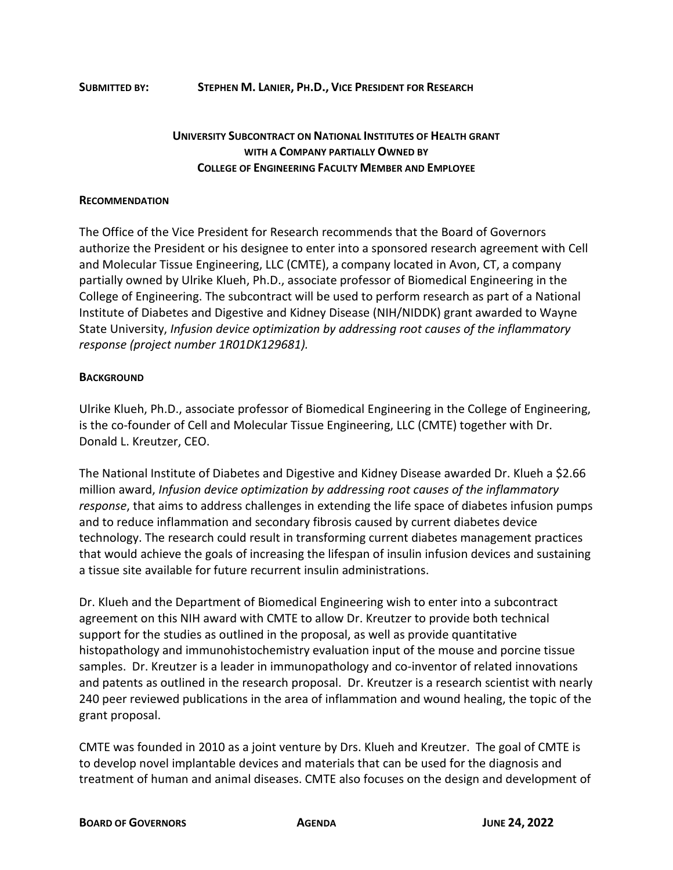## **UNIVERSITY SUBCONTRACT ON NATIONAL INSTITUTES OF HEALTH GRANT WITH A COMPANY PARTIALLY OWNED BY COLLEGE OF ENGINEERING FACULTY MEMBER AND EMPLOYEE**

## **RECOMMENDATION**

The Office of the Vice President for Research recommends that the Board of Governors authorize the President or his designee to enter into a sponsored research agreement with Cell and Molecular Tissue Engineering, LLC (CMTE), a company located in Avon, CT, a company partially owned by Ulrike Klueh, Ph.D., associate professor of Biomedical Engineering in the College of Engineering. The subcontract will be used to perform research as part of a National Institute of Diabetes and Digestive and Kidney Disease (NIH/NIDDK) grant awarded to Wayne State University, *Infusion device optimization by addressing root causes of the inflammatory response (project number 1R01DK129681).*

## **BACKGROUND**

Ulrike Klueh, Ph.D., associate professor of Biomedical Engineering in the College of Engineering, is the co-founder of Cell and Molecular Tissue Engineering, LLC (CMTE) together with Dr. Donald L. Kreutzer, CEO.

The National Institute of Diabetes and Digestive and Kidney Disease awarded Dr. Klueh a \$2.66 million award, *Infusion device optimization by addressing root causes of the inflammatory response*, that aims to address challenges in extending the life space of diabetes infusion pumps and to reduce inflammation and secondary fibrosis caused by current diabetes device technology. The research could result in transforming current diabetes management practices that would achieve the goals of increasing the lifespan of insulin infusion devices and sustaining a tissue site available for future recurrent insulin administrations.

Dr. Klueh and the Department of Biomedical Engineering wish to enter into a subcontract agreement on this NIH award with CMTE to allow Dr. Kreutzer to provide both technical support for the studies as outlined in the proposal, as well as provide quantitative histopathology and immunohistochemistry evaluation input of the mouse and porcine tissue samples. Dr. Kreutzer is a leader in immunopathology and co-inventor of related innovations and patents as outlined in the research proposal. Dr. Kreutzer is a research scientist with nearly 240 peer reviewed publications in the area of inflammation and wound healing, the topic of the grant proposal.

CMTE was founded in 2010 as a joint venture by Drs. Klueh and Kreutzer. The goal of CMTE is to develop novel implantable devices and materials that can be used for the diagnosis and treatment of human and animal diseases. CMTE also focuses on the design and development of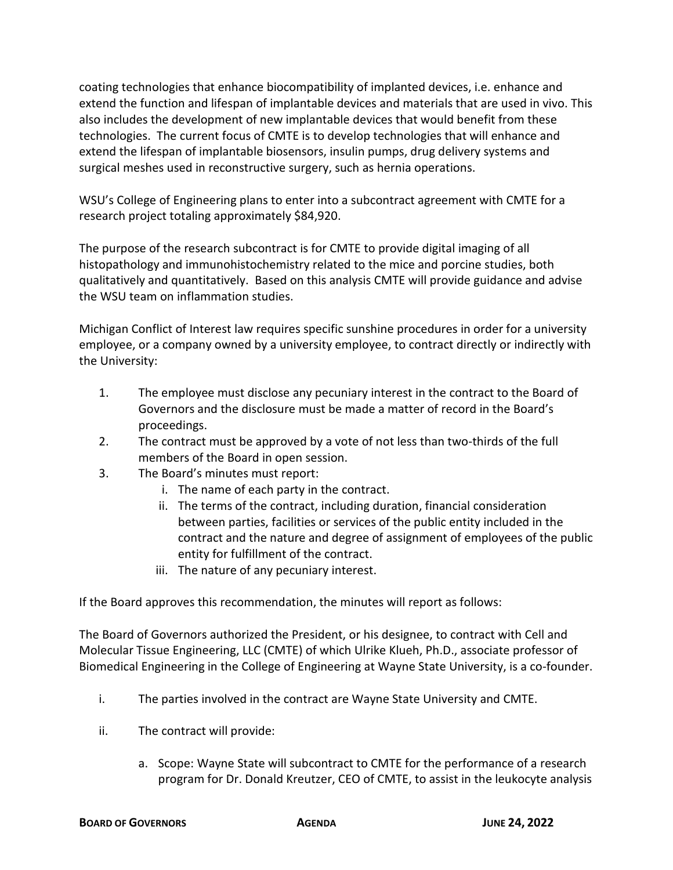coating technologies that enhance biocompatibility of implanted devices, i.e. enhance and extend the function and lifespan of implantable devices and materials that are used in vivo. This also includes the development of new implantable devices that would benefit from these technologies. The current focus of CMTE is to develop technologies that will enhance and extend the lifespan of implantable biosensors, insulin pumps, drug delivery systems and surgical meshes used in reconstructive surgery, such as hernia operations.

WSU's College of Engineering plans to enter into a subcontract agreement with CMTE for a research project totaling approximately \$84,920.

The purpose of the research subcontract is for CMTE to provide digital imaging of all histopathology and immunohistochemistry related to the mice and porcine studies, both qualitatively and quantitatively. Based on this analysis CMTE will provide guidance and advise the WSU team on inflammation studies.

Michigan Conflict of Interest law requires specific sunshine procedures in order for a university employee, or a company owned by a university employee, to contract directly or indirectly with the University:

- 1. The employee must disclose any pecuniary interest in the contract to the Board of Governors and the disclosure must be made a matter of record in the Board's proceedings.
- 2. The contract must be approved by a vote of not less than two-thirds of the full members of the Board in open session.
- 3. The Board's minutes must report:
	- i. The name of each party in the contract.
	- ii. The terms of the contract, including duration, financial consideration between parties, facilities or services of the public entity included in the contract and the nature and degree of assignment of employees of the public entity for fulfillment of the contract.
	- iii. The nature of any pecuniary interest.

If the Board approves this recommendation, the minutes will report as follows:

The Board of Governors authorized the President, or his designee, to contract with Cell and Molecular Tissue Engineering, LLC (CMTE) of which Ulrike Klueh, Ph.D., associate professor of Biomedical Engineering in the College of Engineering at Wayne State University, is a co-founder.

- i. The parties involved in the contract are Wayne State University and CMTE.
- ii. The contract will provide:
	- a. Scope: Wayne State will subcontract to CMTE for the performance of a research program for Dr. Donald Kreutzer, CEO of CMTE, to assist in the leukocyte analysis